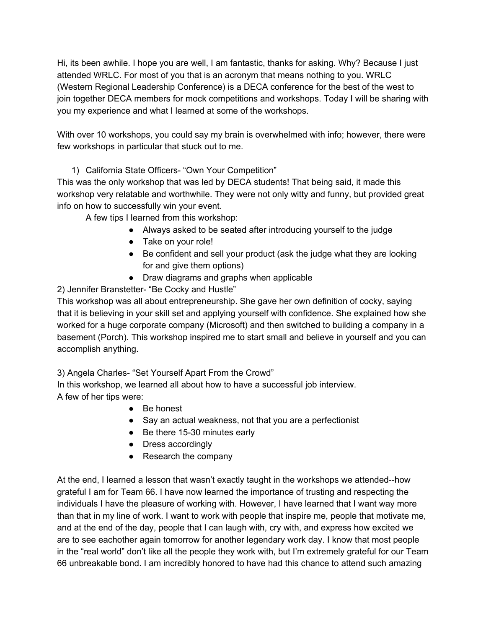Hi, its been awhile. I hope you are well, I am fantastic, thanks for asking. Why? Because I just attended WRLC. For most of you that is an acronym that means nothing to you. WRLC (Western Regional Leadership Conference) is a DECA conference for the best of the west to join together DECA members for mock competitions and workshops. Today I will be sharing with you my experience and what I learned at some of the workshops.

With over 10 workshops, you could say my brain is overwhelmed with info; however, there were few workshops in particular that stuck out to me.

1) California State Officers- "Own Your Competition"

This was the only workshop that was led by DECA students! That being said, it made this workshop very relatable and worthwhile. They were not only witty and funny, but provided great info on how to successfully win your event.

A few tips I learned from this workshop:

- Always asked to be seated after introducing yourself to the judge
- Take on your role!
- Be confident and sell your product (ask the judge what they are looking for and give them options)
- Draw diagrams and graphs when applicable

## 2) Jennifer Branstetter- "Be Cocky and Hustle"

This workshop was all about entrepreneurship. She gave her own definition of cocky, saying that it is believing in your skill set and applying yourself with confidence. She explained how she worked for a huge corporate company (Microsoft) and then switched to building a company in a basement (Porch). This workshop inspired me to start small and believe in yourself and you can accomplish anything.

3) Angela Charles- "Set Yourself Apart From the Crowd"

In this workshop, we learned all about how to have a successful job interview. A few of her tips were:

- Be honest
- Say an actual weakness, not that you are a perfectionist
- Be there 15-30 minutes early
- Dress accordingly
- Research the company

At the end, I learned a lesson that wasn't exactly taught in the workshops we attended--how grateful I am for Team 66. I have now learned the importance of trusting and respecting the individuals I have the pleasure of working with. However, I have learned that I want way more than that in my line of work. I want to work with people that inspire me, people that motivate me, and at the end of the day, people that I can laugh with, cry with, and express how excited we are to see eachother again tomorrow for another legendary work day. I know that most people in the "real world" don't like all the people they work with, but I'm extremely grateful for our Team 66 unbreakable bond. I am incredibly honored to have had this chance to attend such amazing